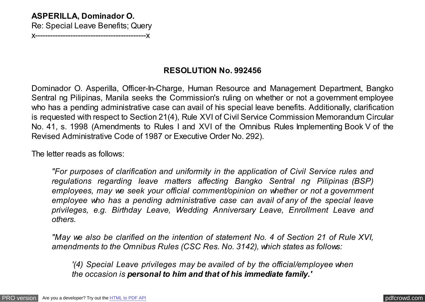## **ASPERILLA, Dominador O.**

Re: Special Leave Benefits; Query

x--------------------------------------------x

## **RESOLUTION No. 992456**

Dominador O. Asperilla, Officer-In-Charge, Human Resource and Management Department, Bangko Sentral ng Pilipinas, Manila seeks the Commission's ruling on whether or not a government employee who has a pending administrative case can avail of his special leave benefits. Additionally, clarification is requested with respect to Section 21(4), Rule XVI of Civil Service Commission Memorandum Circular No. 41, s. 1998 (Amendments to Rules I and XVI of the Omnibus Rules Implementing Book V of the Revised Administrative Code of 1987 or Executive Order No. 292).

The letter reads as follows:

*"For purposes of clarification and uniformity in the application of Civil Service rules and regulations regarding leave matters affecting Bangko Sentral ng Pilipinas (BSP) employees, may we seek your official comment/opinion on whether or not a government employee who has a pending administrative case can avail of any of the special leave privileges, e.g. Birthday Leave, Wedding Anniversary Leave, Enrollment Leave and others.*

*"May we also be clarified on the intention of statement No. 4 of Section 21 of Rule XVI, amendments to the Omnibus Rules (CSC Res. No. 3142), which states as follows:*

*'(4) Special Leave privileges may be availed of by the official/employee when the occasion is personal to him and that of his immediate family.'*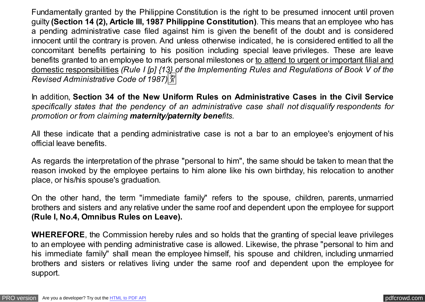Fundamentally granted by the Philippine Constitution is the right to be presumed innocent until proven guilty **(Section 14 (2), Article III, 1987 Philippine Constitution)**. This means that an employee who has a pending administrative case filed against him is given the benefit of the doubt and is considered innocent until the contrary is proven. And unless otherwise indicated, he is considered entitled to all the concomitant benefits pertaining to his position including special leave privileges. These are leave benefits granted to an employee to mark personal milestones or to attend to urgent or important filial and domestic responsibilities *(Rule I [p] {13} of the Implementing Rules and Regulations of Book V of the Revised Administrative Code of 1987)*�

In addition, **Section 34 of the New Uniform Rules on Administrative Cases in the Civil Service** *specifically states that the pendency of an administrative case shall not disqualify respondents for promotion or from claiming maternity/paternity benefits.*

All these indicate that a pending administrative case is not a bar to an employee's enjoyment of his official leave benefits.

As regards the interpretation of the phrase "personal to him", the same should be taken to mean that the reason invoked by the employee pertains to him alone like his own birthday, his relocation to another place, or his/his spouse's graduation.

On the other hand, the term "immediate family" refers to the spouse, children, parents, unmarried brothers and sisters and any relative under the same roof and dependent upon the employee for support **(Rule I, No.4, Omnibus Rules on Leave).**

**WHEREFORE**, the Commission hereby rules and so holds that the granting of special leave privileges to an employee with pending administrative case is allowed. Likewise, the phrase "personal to him and his immediate family" shall mean the employee himself, his spouse and children, including unmarried brothers and sisters or relatives living under the same roof and dependent upon the employee for support.